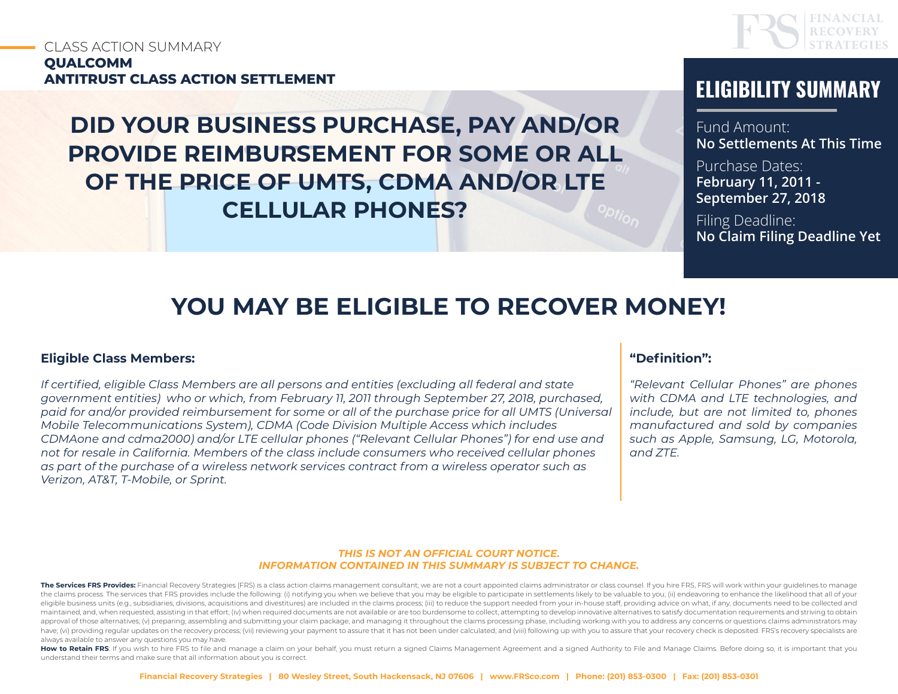# CLASS ACTION SUMMARY **QUALCOMM ANTITRUST CLASS ACTION SETTLEMENT ELIGIBILITY SUMMARY**

**DID YOUR BUSINESS PURCHASE, PAY AND/OR PROVIDE REIMBURSEMENT FOR SOME OR ALL OF THE PRICE OF UMTS, CDMA AND/OR LTE CELLULAR PHONES?**



Fund Amount: **No Settlements At This Time**

Purchase Dates: **February 11, 2011 - September 27, 2018**

Filing Deadline: **No Claim Filing Deadline Yet**

# **YOU MAY BE ELIGIBLE TO RECOVER MONEY!**

#### **Eligible Class Members:**

*If certified, eligible Class Members are all persons and entities (excluding all federal and state government entities) who or which, from February 11, 2011 through September 27, 2018, purchased, paid for and/or provided reimbursement for some or all of the purchase price for all UMTS (Universal Mobile Telecommunications System), CDMA (Code Division Multiple Access which includes CDMAone and cdma2000) and/or LTE cellular phones ("Relevant Cellular Phones") for end use and not for resale in California. Members of the class include consumers who received cellular phones as part of the purchase of a wireless network services contract from a wireless operator such as Verizon, AT&T, T-Mobile, or Sprint.*

#### **"Definition":**

*"Relevant Cellular Phones" are phones with CDMA and LTE technologies, and include, but are not limited to, phones manufactured and sold by companies such as Apple, Samsung, LG, Motorola, and ZTE.* 

#### *THIS IS NOT AN OFFICIAL COURT NOTICE. INFORMATION CONTAINED IN THIS SUMMARY IS SUBJECT TO CHANGE.*

The Services FRS Provides: Financial Recovery Strategies (FRS) is a class action claims management consultant; we are not a court appointed claims administrator or class counsel. If you hire FRS, FRS will work within your the claims process. The services that FRS provides include the following: (i) notifying you when we believe that you may be eligible to participate in settlements likely to be valuable to you; (ii) endeavoring to enhance t eligible business units (e.g., subsidiaries, divisions, acquisitions and divestitures) are included in the claims process; (iii) to reduce the support needed from your in-house staff, providing advice on what, if any, docu maintained, and, when requested, assisting in that effort; (iv) when required documents are not available or are too burdensome to collect, attempting to develop innovative alternatives to satisfy documentation requirement approval of those alternatives; (v) preparing, assembling and submitting your claim package, and managing it throughout the claims processing phase, including working with you to address any concerns or questions claims ad have; (vi) providing regular updates on the recovery process; (vii) reviewing your payment to assure that it has not been under calculated; and (viii) following up with you to assure that your recovery check is deposited. always available to answer any questions you may have.

How to Retain FRS: If you wish to hire FRS to file and manage a claim on your behalf, you must return a signed Claims Management Agreement and a signed Authority to File and Manage Claims. Before doing so, it is important understand their terms and make sure that all information about you is correct.